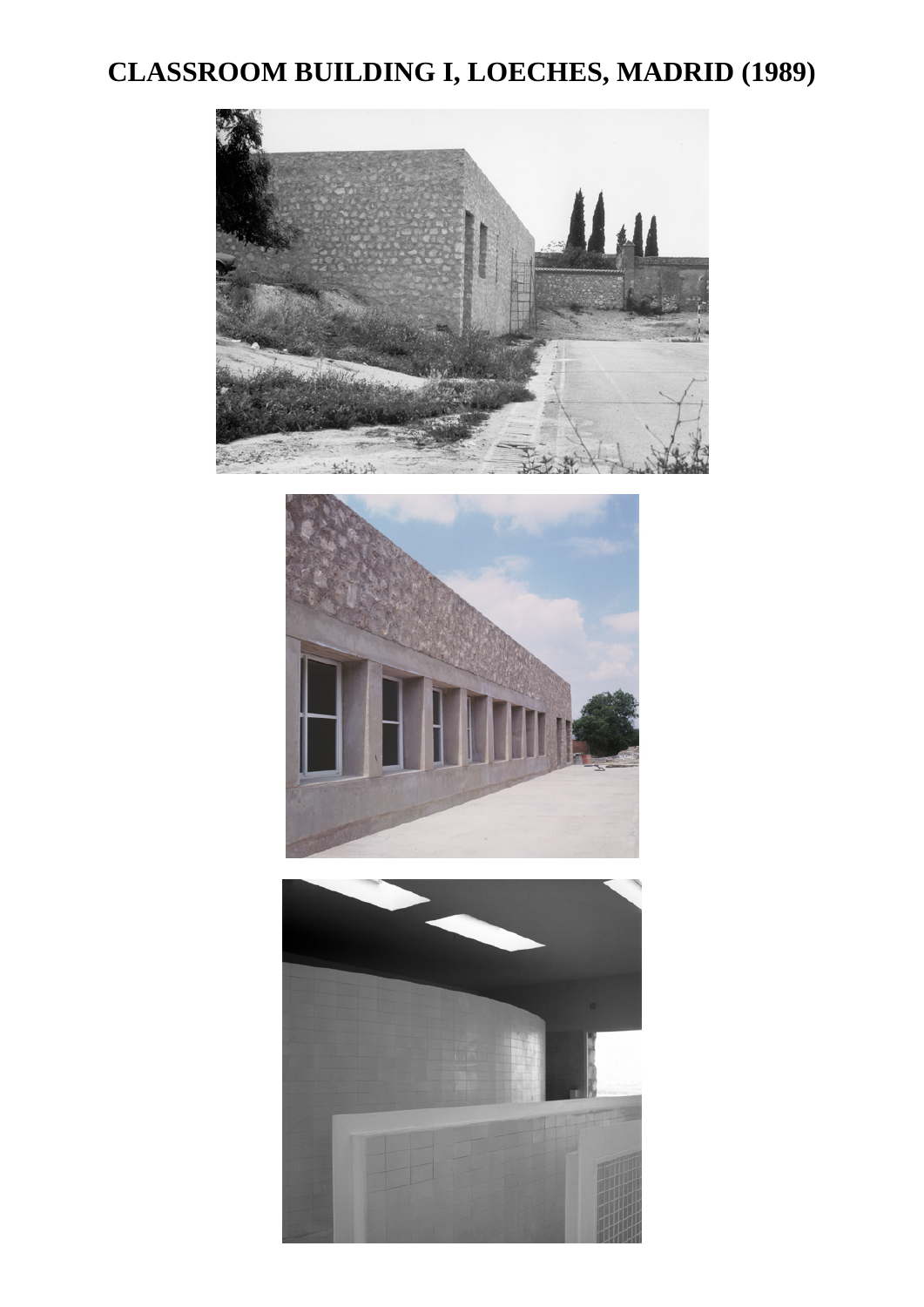## **CLASSROOM BUILDING I, LOECHES, MADRID (1989)**





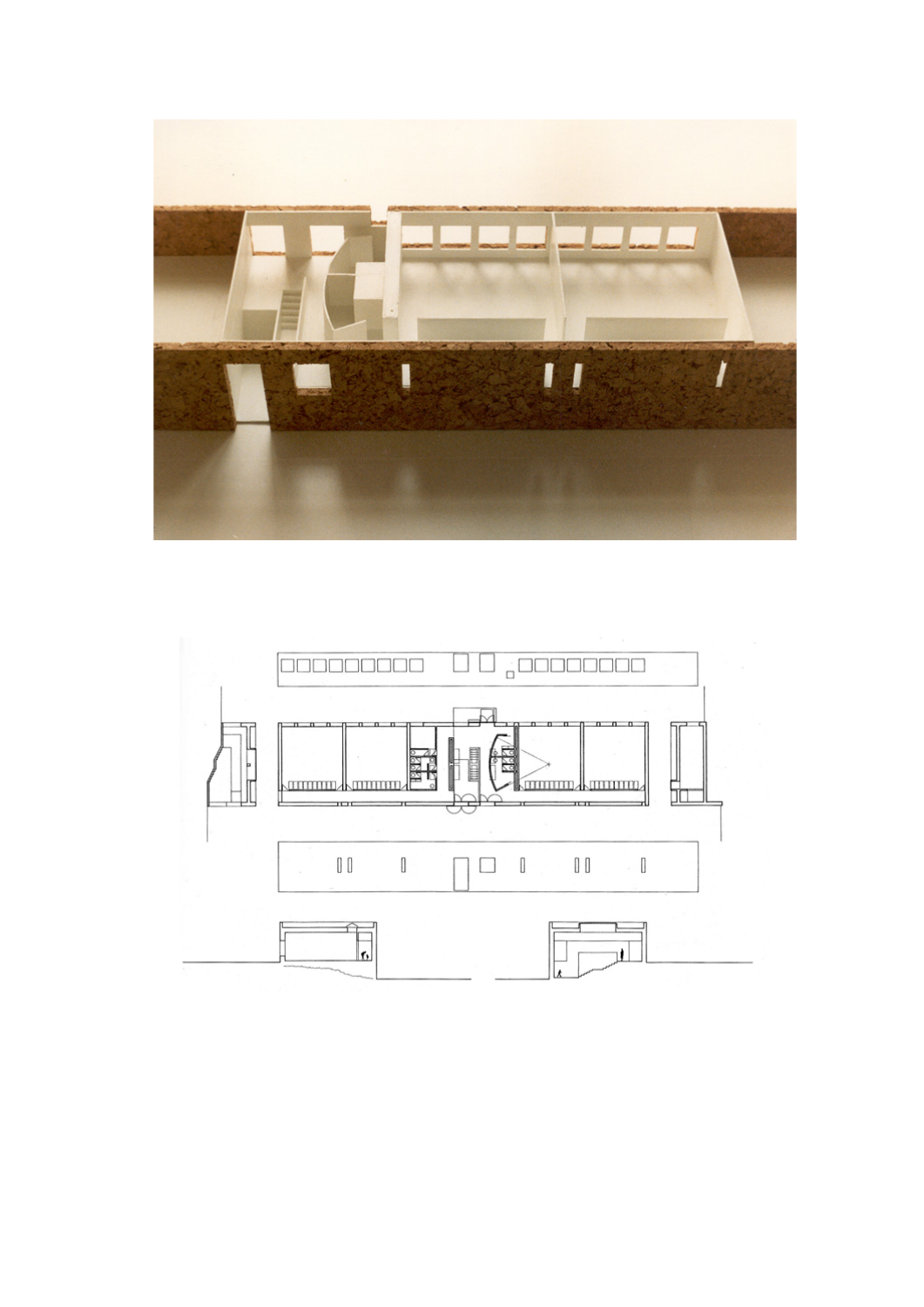